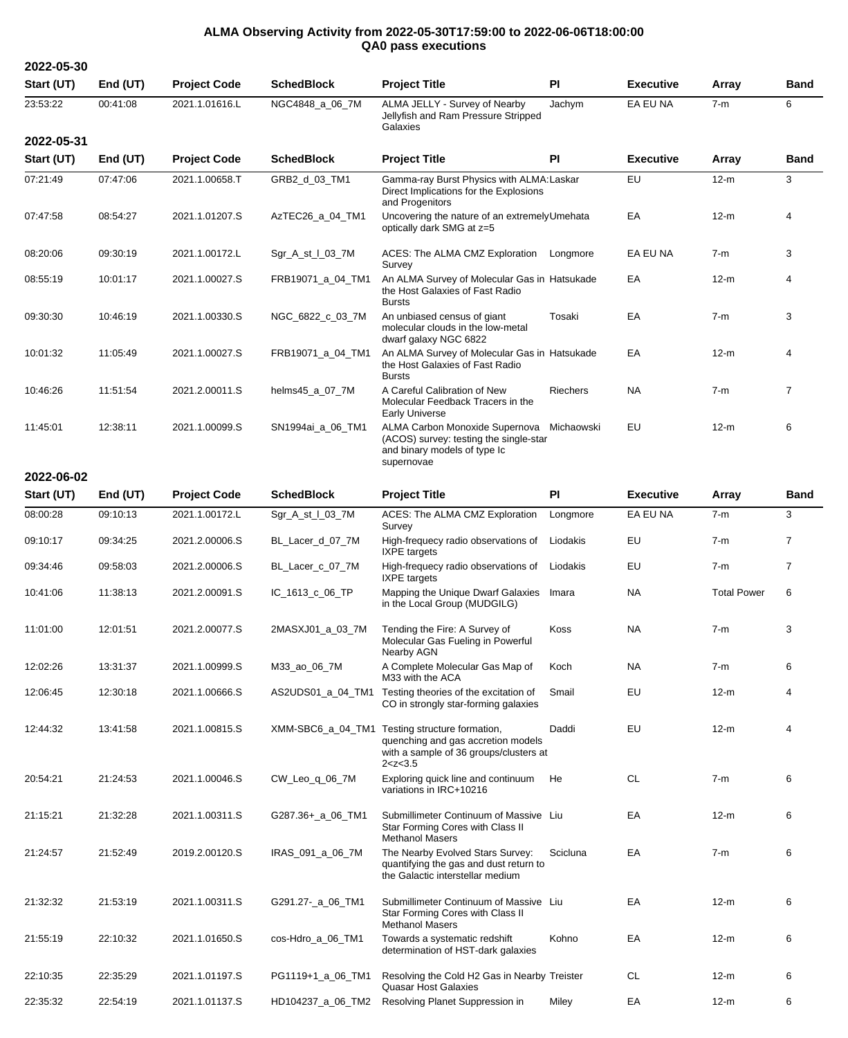## **ALMA Observing Activity from 2022-05-30T17:59:00 to 2022-06-06T18:00:00 QA0 pass executions**

| 2022-05-30 |            |                     |                   |                                                                                                        |           |                  |        |             |
|------------|------------|---------------------|-------------------|--------------------------------------------------------------------------------------------------------|-----------|------------------|--------|-------------|
| Start (UT) | End $(UT)$ | <b>Project Code</b> | <b>SchedBlock</b> | <b>Project Title</b>                                                                                   | <b>PI</b> | <b>Executive</b> | Array  | <b>Band</b> |
| 23:53:22   | 00:41:08   | 2021.1.01616.L      | NGC4848 a 06 7M   | ALMA JELLY - Survey of Nearby<br>Jellyfish and Ram Pressure Stripped<br>Galaxies                       | Jachym    | EA EU NA         | $7-m$  | 6           |
| 2022-05-31 |            |                     |                   |                                                                                                        |           |                  |        |             |
| Start (UT) | End $(UT)$ | <b>Project Code</b> | <b>SchedBlock</b> | <b>Project Title</b>                                                                                   | <b>PI</b> | <b>Executive</b> | Array  | <b>Band</b> |
| 07:21:49   | 07:47:06   | 2021.1.00658.T      | GRB2 d 03 TM1     | Gamma-ray Burst Physics with ALMA: Laskar<br>Direct Implications for the Explosions<br>and Progenitors |           | EU               | $12-m$ | 3           |
| 07:47:58   | 08:54:27   | 2021.1.01207.S      | AzTEC26_a_04_TM1  | Uncovering the nature of an extremely Umehata<br>optically dark SMG at z=5                             |           | EA               | $12-m$ | 4           |
| 08:20:06   | 09:30:19   | 2021.1.00172.L      | Sgr A st 103 7M   | ACES: The ALMA CMZ Exploration<br>Survey                                                               | Longmore  | EA EU NA         | 7-m    | 3           |
| 08:55:19   | 10:01:17   | 2021.1.00027.S      | FRB19071 a 04 TM1 | An ALMA Survey of Molecular Gas in Hatsukade                                                           |           | EA               | $12-m$ | 4           |

|          |          |                |                   | optically dark SMG at z=5                                                                                              |                 |           |        |   |
|----------|----------|----------------|-------------------|------------------------------------------------------------------------------------------------------------------------|-----------------|-----------|--------|---|
| 08:20:06 | 09:30:19 | 2021.1.00172.L | Sgr A st 103 7M   | ACES: The ALMA CMZ Exploration<br>Survey                                                                               | Longmore        | EA EU NA  | $7-m$  | 3 |
| 08:55:19 | 10:01:17 | 2021.1.00027.S | FRB19071_a_04_TM1 | An ALMA Survey of Molecular Gas in Hatsukade<br>the Host Galaxies of Fast Radio<br><b>Bursts</b>                       |                 | EA        | $12-m$ | 4 |
| 09:30:30 | 10:46:19 | 2021.1.00330.S | NGC 6822 c 03 7M  | An unbiased census of giant<br>molecular clouds in the low-metal<br>dwarf galaxy NGC 6822                              | Tosaki          | EA        | $7-m$  | 3 |
| 10:01:32 | 11:05:49 | 2021.1.00027.S | FRB19071_a_04_TM1 | An ALMA Survey of Molecular Gas in Hatsukade<br>the Host Galaxies of Fast Radio<br><b>Bursts</b>                       |                 | EA        | $12-m$ | 4 |
| 10:46:26 | 11:51:54 | 2021.2.00011.S | helms45 a 07 7M   | A Careful Calibration of New<br>Molecular Feedback Tracers in the<br>Early Universe                                    | <b>Riechers</b> | <b>NA</b> | $7-m$  |   |
| 11:45:01 | 12:38:11 | 2021.1.00099.S | SN1994ai a 06 TM1 | ALMA Carbon Monoxide Supernova<br>(ACOS) survey: testing the single-star<br>and binary models of type Ic<br>supernovae | Michaowski      | EU        | $12-m$ | 6 |

| Start (UT) | End $(UT)$ | <b>Project Code</b> | <b>SchedBlock</b> | <b>Project Title</b>                                                                                                        | <b>PI</b>   | <b>Executive</b> | Array              | <b>Band</b>    |
|------------|------------|---------------------|-------------------|-----------------------------------------------------------------------------------------------------------------------------|-------------|------------------|--------------------|----------------|
| 08:00:28   | 09:10:13   | 2021.1.00172.L      | Sgr_A_st_I_03_7M  | ACES: The ALMA CMZ Exploration<br>Survey                                                                                    | Longmore    | EA EU NA         | $7-m$              | 3              |
| 09:10:17   | 09:34:25   | 2021.2.00006.S      | BL_Lacer_d_07_7M  | High-frequecy radio observations of<br><b>IXPE</b> targets                                                                  | Liodakis    | EU               | $7-m$              | $\overline{7}$ |
| 09:34:46   | 09:58:03   | 2021.2.00006.S      | BL_Lacer_c_07_7M  | High-frequecy radio observations of<br><b>IXPE</b> targets                                                                  | Liodakis    | EU               | $7-m$              | $\overline{7}$ |
| 10:41:06   | 11:38:13   | 2021.2.00091.S      | IC_1613_c_06_TP   | Mapping the Unique Dwarf Galaxies<br>in the Local Group (MUDGILG)                                                           | Imara       | <b>NA</b>        | <b>Total Power</b> | 6              |
| 11:01:00   | 12:01:51   | 2021.2.00077.S      | 2MASXJ01_a_03_7M  | Tending the Fire: A Survey of<br>Molecular Gas Fueling in Powerful<br>Nearby AGN                                            | <b>Koss</b> | <b>NA</b>        | $7-m$              | 3              |
| 12:02:26   | 13:31:37   | 2021.1.00999.S      | M33_ao_06_7M      | A Complete Molecular Gas Map of<br>M33 with the ACA                                                                         | Koch        | <b>NA</b>        | $7-m$              | 6              |
| 12:06:45   | 12:30:18   | 2021.1.00666.S      | AS2UDS01_a_04_TM1 | Testing theories of the excitation of<br>CO in strongly star-forming galaxies                                               | Smail       | EU               | $12-m$             | 4              |
| 12:44:32   | 13:41:58   | 2021.1.00815.S      | XMM-SBC6_a_04_TM1 | Testing structure formation,<br>quenching and gas accretion models<br>with a sample of 36 groups/clusters at<br>2 < z < 3.5 | Daddi       | EU               | $12-m$             | 4              |
| 20:54:21   | 21:24:53   | 2021.1.00046.S      | CW_Leo_q_06_7M    | Exploring quick line and continuum<br>variations in IRC+10216                                                               | He          | <b>CL</b>        | $7-m$              | 6              |
| 21:15:21   | 21:32:28   | 2021.1.00311.S      | G287.36+_a_06_TM1 | Submillimeter Continuum of Massive Liu<br>Star Forming Cores with Class II<br><b>Methanol Masers</b>                        |             | EA               | $12-m$             | 6              |
| 21:24:57   | 21:52:49   | 2019.2.00120.S      | IRAS_091_a_06_7M  | The Nearby Evolved Stars Survey:<br>quantifying the gas and dust return to<br>the Galactic interstellar medium              | Scicluna    | EA               | $7-m$              | 6              |
| 21:32:32   | 21:53:19   | 2021.1.00311.S      | G291.27-_a_06_TM1 | Submillimeter Continuum of Massive Liu<br>Star Forming Cores with Class II<br><b>Methanol Masers</b>                        |             | EA               | $12-m$             | 6              |
| 21:55:19   | 22:10:32   | 2021.1.01650.S      | cos-Hdro_a_06_TM1 | Towards a systematic redshift<br>determination of HST-dark galaxies                                                         | Kohno       | EA               | $12-m$             | 6              |
| 22:10:35   | 22:35:29   | 2021.1.01197.S      | PG1119+1 a 06 TM1 | Resolving the Cold H2 Gas in Nearby Treister<br><b>Quasar Host Galaxies</b>                                                 |             | <b>CL</b>        | $12-m$             | 6              |

22:35:32 22:54:19 2021.1.01137.S HD104237\_a\_06\_TM2 Resolving Planet Suppression in Miley EA 12-m 6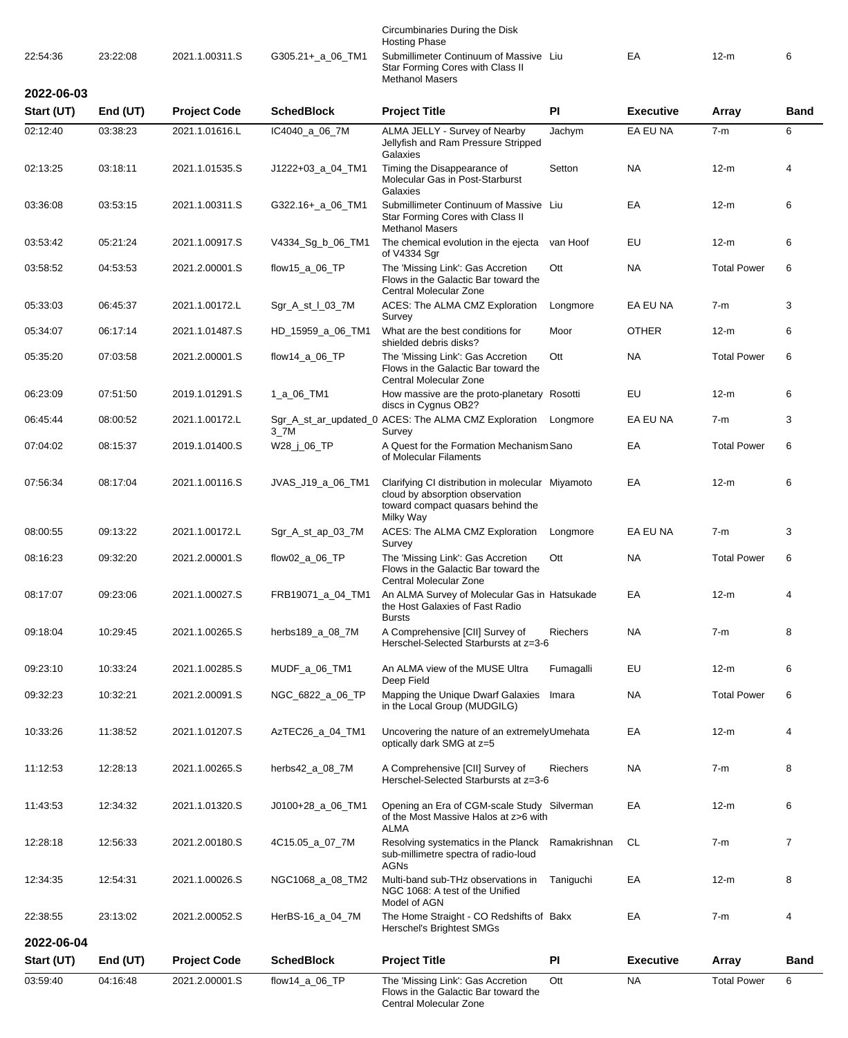|            |            |                     |                      | Circumbinaries During the Disk<br><b>Hosting Phase</b>                                                                                |                 |                  |                    |                |
|------------|------------|---------------------|----------------------|---------------------------------------------------------------------------------------------------------------------------------------|-----------------|------------------|--------------------|----------------|
| 22:54:36   | 23:22:08   | 2021.1.00311.S      | G305.21+_a_06_TM1    | Submillimeter Continuum of Massive Liu<br>Star Forming Cores with Class II<br><b>Methanol Masers</b>                                  |                 | EA               | $12-m$             | 6              |
| 2022-06-03 |            |                     |                      |                                                                                                                                       |                 |                  |                    |                |
| Start (UT) | End $(UT)$ | <b>Project Code</b> | <b>SchedBlock</b>    | <b>Project Title</b>                                                                                                                  | PI              | <b>Executive</b> | Array              | Band           |
| 02:12:40   | 03:38:23   | 2021.1.01616.L      | IC4040_a_06_7M       | ALMA JELLY - Survey of Nearby<br>Jellyfish and Ram Pressure Stripped<br>Galaxies                                                      | Jachym          | EA EU NA         | $7-m$              | 6              |
| 02:13:25   | 03:18:11   | 2021.1.01535.S      | J1222+03_a_04_TM1    | Timing the Disappearance of<br>Molecular Gas in Post-Starburst<br>Galaxies                                                            | Setton          | <b>NA</b>        | $12-m$             | 4              |
| 03:36:08   | 03:53:15   | 2021.1.00311.S      | G322.16+_a_06_TM1    | Submillimeter Continuum of Massive Liu<br>Star Forming Cores with Class II<br><b>Methanol Masers</b>                                  |                 | EA               | $12-m$             | 6              |
| 03:53:42   | 05:21:24   | 2021.1.00917.S      | V4334_Sg_b_06_TM1    | The chemical evolution in the ejecta<br>of V4334 Sgr                                                                                  | van Hoof        | EU               | $12-m$             | 6              |
| 03:58:52   | 04:53:53   | 2021.2.00001.S      | flow15_a_06_TP       | The 'Missing Link': Gas Accretion<br>Flows in the Galactic Bar toward the<br>Central Molecular Zone                                   | Ott             | <b>NA</b>        | <b>Total Power</b> | 6              |
| 05:33:03   | 06:45:37   | 2021.1.00172.L      | Sgr_A_st_I_03_7M     | ACES: The ALMA CMZ Exploration<br>Survey                                                                                              | Longmore        | EA EU NA         | $7-m$              | 3              |
| 05:34:07   | 06:17:14   | 2021.1.01487.S      | HD_15959_a_06_TM1    | What are the best conditions for<br>shielded debris disks?                                                                            | Moor            | <b>OTHER</b>     | $12-m$             | 6              |
| 05:35:20   | 07:03:58   | 2021.2.00001.S      | flow14_a_06_TP       | The 'Missing Link': Gas Accretion<br>Flows in the Galactic Bar toward the<br>Central Molecular Zone                                   | Ott             | <b>NA</b>        | <b>Total Power</b> | 6              |
| 06:23:09   | 07:51:50   | 2019.1.01291.S      | 1_a_06_TM1           | How massive are the proto-planetary Rosotti<br>discs in Cygnus OB2?                                                                   |                 | EU               | $12-m$             | 6              |
| 06:45:44   | 08:00:52   | 2021.1.00172.L      | 3_7M                 | Sgr_A_st_ar_updated_0 ACES: The ALMA CMZ Exploration<br>Survey                                                                        | Longmore        | EA EU NA         | $7-m$              | 3              |
| 07:04:02   | 08:15:37   | 2019.1.01400.S      | W28_j_06_TP          | A Quest for the Formation Mechanism Sano<br>of Molecular Filaments                                                                    |                 | EA               | <b>Total Power</b> | 6              |
| 07:56:34   | 08:17:04   | 2021.1.00116.S      | JVAS_J19_a_06_TM1    | Clarifying CI distribution in molecular Miyamoto<br>cloud by absorption observation<br>toward compact quasars behind the<br>Milky Way |                 | EA               | $12-m$             | 6              |
| 08:00:55   | 09:13:22   | 2021.1.00172.L      | Sgr_A_st_ap_03_7M    | ACES: The ALMA CMZ Exploration<br>Survey                                                                                              | Longmore        | EA EU NA         | $7-m$              | 3              |
| 08:16:23   | 09:32:20   | 2021.2.00001.S      | flow02_a_06_TP       | The 'Missing Link': Gas Accretion<br>Flows in the Galactic Bar toward the<br>Central Molecular Zone                                   | Ott             | <b>NA</b>        | <b>Total Power</b> | 6              |
| 08:17:07   | 09:23:06   | 2021.1.00027.S      | FRB19071_a_04_TM1    | An ALMA Survey of Molecular Gas in Hatsukade<br>the Host Galaxies of Fast Radio                                                       |                 | EA               | $12-m$             | 4              |
| 09:18:04   | 10:29:45   | 2021.1.00265.S      | herbs189_a_08_7M     | <b>Bursts</b><br>A Comprehensive [CII] Survey of<br>Herschel-Selected Starbursts at z=3-6                                             | <b>Riechers</b> | NA               | $7-m$              | 8              |
| 09:23:10   | 10:33:24   | 2021.1.00285.S      | MUDF_a_06_TM1        | An ALMA view of the MUSE Ultra<br>Deep Field                                                                                          | Fumagalli       | EU               | $12-m$             | 6              |
| 09:32:23   | 10:32:21   | 2021.2.00091.S      | NGC_6822_a_06_TP     | Mapping the Unique Dwarf Galaxies<br>in the Local Group (MUDGILG)                                                                     | Imara           | NA               | <b>Total Power</b> | 6              |
| 10:33:26   | 11:38:52   | 2021.1.01207.S      | AzTEC26_a_04_TM1     | Uncovering the nature of an extremely Umehata<br>optically dark SMG at z=5                                                            |                 | EA               | $12-m$             | 4              |
| 11:12:53   | 12:28:13   | 2021.1.00265.S      | herbs $42$ a 08 $7M$ | A Comprehensive [CII] Survey of<br>Herschel-Selected Starbursts at z=3-6                                                              | Riechers        | NA.              | $7-m$              | 8              |
| 11:43:53   | 12:34:32   | 2021.1.01320.S      | J0100+28_a_06_TM1    | Opening an Era of CGM-scale Study Silverman<br>of the Most Massive Halos at z>6 with                                                  |                 | EA               | $12-m$             | 6              |
| 12:28:18   | 12:56:33   | 2021.2.00180.S      | 4C15.05_a_07_7M      | ALMA<br>Resolving systematics in the Planck<br>sub-millimetre spectra of radio-loud                                                   | Ramakrishnan    | CL               | $7-m$              | $\overline{7}$ |
| 12:34:35   | 12:54:31   | 2021.1.00026.S      | NGC1068_a_08_TM2     | AGNs<br>Multi-band sub-THz observations in<br>NGC 1068: A test of the Unified                                                         | Taniguchi       | EA               | $12-m$             | 8              |
| 22:38:55   | 23:13:02   | 2021.2.00052.S      | HerBS-16_a_04_7M     | Model of AGN<br>The Home Straight - CO Redshifts of Bakx                                                                              |                 | EA               | $7-m$              | 4              |
| 2022-06-04 |            |                     |                      | Herschel's Brightest SMGs                                                                                                             |                 |                  |                    |                |
| Start (UT) | End (UT)   | <b>Project Code</b> | <b>SchedBlock</b>    | <b>Project Title</b>                                                                                                                  | PI              | <b>Executive</b> | Array              | Band           |
| 03:59:40   | 04:16:48   | 2021.2.00001.S      | flow14_a_06_TP       | The 'Missing Link': Gas Accretion                                                                                                     | Ott             | <b>NA</b>        | <b>Total Power</b> | 6              |

Flows in the Galactic Bar toward the

Central Molecular Zone